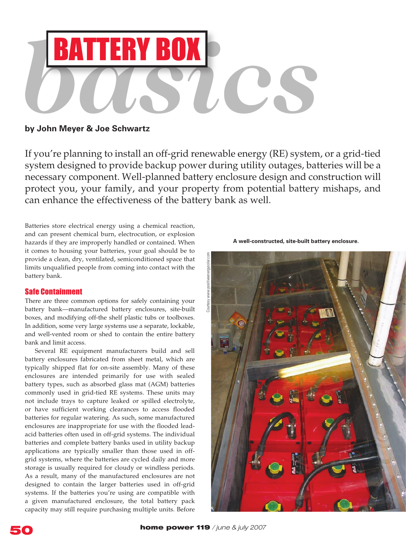

### **by John Meyer & Joe Schwartz**

If you're planning to install an off-grid renewable energy (RE) system, or a grid-tied system designed to provide backup power during utility outages, batteries will be a necessary component. Well-planned battery enclosure design and construction will protect you, your family, and your property from potential battery mishaps, and can enhance the effectiveness of the battery bank as well.

Batteries store electrical energy using a chemical reaction, and can present chemical burn, electrocution, or explosion hazards if they are improperly handled or contained. When it comes to housing your batteries, your goal should be to provide a clean, dry, ventilated, semiconditioned space that limits unqualified people from coming into contact with the battery bank.

### Safe Containment

There are three common options for safely containing your battery bank—manufactured battery enclosures, site-built boxes, and modifying off-the shelf plastic tubs or toolboxes. In addition, some very large systems use a separate, lockable, and well-vented room or shed to contain the entire battery bank and limit access.

Several RE equipment manufacturers build and sell battery enclosures fabricated from sheet metal, which are typically shipped flat for on-site assembly. Many of these enclosures are intended primarily for use with sealed battery types, such as absorbed glass mat (AGM) batteries commonly used in grid-tied RE systems. These units may not include trays to capture leaked or spilled electrolyte, or have sufficient working clearances to access flooded batteries for regular watering. As such, some manufactured enclosures are inappropriate for use with the flooded leadacid batteries often used in off-grid systems. The individual batteries and complete battery banks used in utility backup applications are typically smaller than those used in offgrid systems, where the batteries are cycled daily and more storage is usually required for cloudy or windless periods. As a result, many of the manufactured enclosures are not designed to contain the larger batteries used in off-grid systems. If the batteries you're using are compatible with a given manufactured enclosure, the total battery pack capacity may still require purchasing multiple units. Before

**A well-constructed, site-built battery enclosure.**

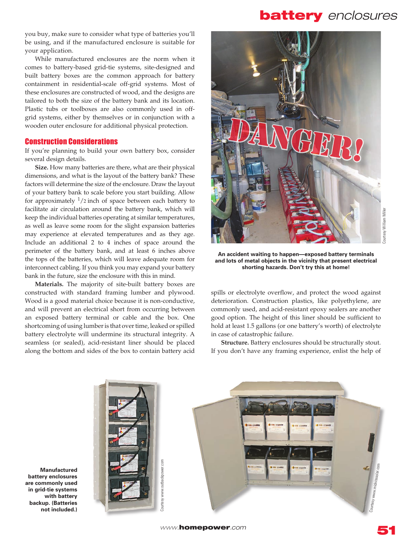you buy, make sure to consider what type of batteries you'll be using, and if the manufactured enclosure is suitable for your application.

While manufactured enclosures are the norm when it comes to battery-based grid-tie systems, site-designed and built battery boxes are the common approach for battery containment in residential-scale off-grid systems. Most of these enclosures are constructed of wood, and the designs are tailored to both the size of the battery bank and its location. Plastic tubs or toolboxes are also commonly used in offgrid systems, either by themselves or in conjunction with a wooden outer enclosure for additional physical protection.

### Construction Considerations

If you're planning to build your own battery box, consider several design details.

**Size.** How many batteries are there, what are their physical dimensions, and what is the layout of the battery bank? These factors will determine the size of the enclosure. Draw the layout of your battery bank to scale before you start building. Allow for approximately  $\frac{1}{2}$  inch of space between each battery to facilitate air circulation around the battery bank, which will keep the individual batteries operating at similar temperatures, as well as leave some room for the slight expansion batteries may experience at elevated temperatures and as they age. Include an additional 2 to 4 inches of space around the perimeter of the battery bank, and at least 6 inches above the tops of the batteries, which will leave adequate room for interconnect cabling. If you think you may expand your battery bank in the future, size the enclosure with this in mind.

**Materials.** The majority of site-built battery boxes are constructed with standard framing lumber and plywood. Wood is a good material choice because it is non-conductive, and will prevent an electrical short from occurring between an exposed battery terminal or cable and the box. One shortcoming of using lumber is that over time, leaked or spilled battery electrolyte will undermine its structural integrity. A seamless (or sealed), acid-resistant liner should be placed along the bottom and sides of the box to contain battery acid



**An accident waiting to happen—exposed battery terminals and lots of metal objects in the vicinity that present electrical shorting hazards. Don't try this at home!** 

spills or electrolyte overflow, and protect the wood against deterioration. Construction plastics, like polyethylene, are commonly used, and acid-resistant epoxy sealers are another good option. The height of this liner should be sufficient to hold at least 1.5 gallons (or one battery's worth) of electrolyte in case of catastrophic failure.

**Structure.** Battery enclosures should be structurally stout. If you don't have any framing experience, enlist the help of



Courtesy www.outbackpower.com

**Manufactured battery enclosures are commonly used in grid-tie systems with battery backup. (Batteries not included.)** 

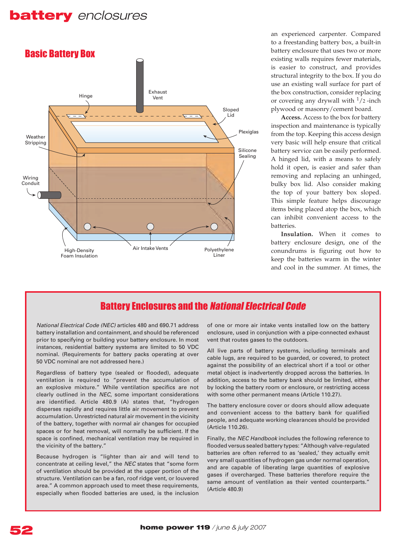

an experienced carpenter. Compared to a freestanding battery box, a built-in battery enclosure that uses two or more existing walls requires fewer materials, is easier to construct, and provides structural integrity to the box. If you do use an existing wall surface for part of the box construction, consider replacing or covering any drywall with  $\frac{1}{2}$ -inch plywood or masonry/cement board.

**Access.** Access to the box for battery inspection and maintenance is typically from the top. Keeping this access design very basic will help ensure that critical battery service can be easily performed. A hinged lid, with a means to safely hold it open, is easier and safer than removing and replacing an unhinged, bulky box lid. Also consider making the top of your battery box sloped. This simple feature helps discourage items being placed atop the box, which can inhibit convenient access to the **batteries** 

**Insulation.** When it comes to battery enclosure design, one of the conundrums is figuring out how to keep the batteries warm in the winter and cool in the summer. At times, the

## Battery Enclosures and the National Electrical Code

*National Electrical Code (NEC)* articles 480 and 690.71 address battery installation and containment, and should be referenced prior to specifying or building your battery enclosure. In most instances, residential battery systems are limited to 50 VDC nominal. (Requirements for battery packs operating at over 50 VDC nominal are not addressed here.)

Regardless of battery type (sealed or flooded), adequate ventilation is required to "prevent the accumulation of an explosive mixture." While ventilation specifics are not clearly outlined in the *NEC*, some important considerations are identified. Article 480.9 (A) states that, "hydrogen disperses rapidly and requires little air movement to prevent accumulation. Unrestricted natural air movement in the vicinity of the battery, together with normal air changes for occupied spaces or for heat removal, will normally be sufficient. If the space is confined, mechanical ventilation may be required in the vicinity of the battery."

Because hydrogen is "lighter than air and will tend to concentrate at ceiling level," the *NEC* states that "some form of ventilation should be provided at the upper portion of the structure. Ventilation can be a fan, roof ridge vent, or louvered area." A common approach used to meet these requirements, especially when flooded batteries are used, is the inclusion

of one or more air intake vents installed low on the battery enclosure, used in conjunction with a pipe-connected exhaust vent that routes gases to the outdoors.

All live parts of battery systems, including terminals and cable lugs, are required to be guarded, or covered, to protect against the possibility of an electrical short if a tool or other metal object is inadvertently dropped across the batteries. In addition, access to the battery bank should be limited, either by locking the battery room or enclosure, or restricting access with some other permanent means (Article 110.27).

The battery enclosure cover or doors should allow adequate and convenient access to the battery bank for qualified people, and adequate working clearances should be provided (Article 110.26).

Finally, the *NEC Handbook* includes the following reference to flooded versus sealed battery types: "Although valve-regulated batteries are often referred to as 'sealed,' they actually emit very small quantities of hydrogen gas under normal operation, and are capable of liberating large quantities of explosive gases if overcharged. These batteries therefore require the same amount of ventilation as their vented counterparts." (Article 480.9)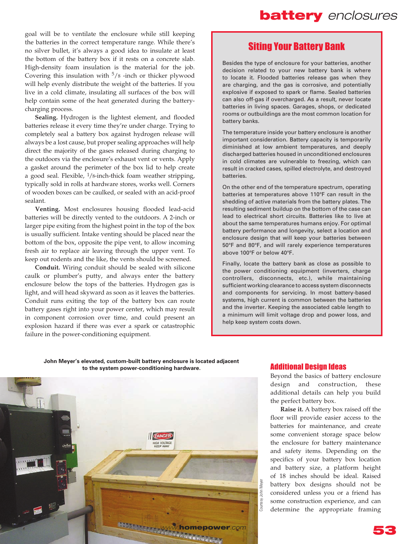goal will be to ventilate the enclosure while still keeping the batteries in the correct temperature range. While there's no silver bullet, it's always a good idea to insulate at least the bottom of the battery box if it rests on a concrete slab. High-density foam insulation is the material for the job. Covering this insulation with  $\frac{5}{8}$  -inch or thicker plywood will help evenly distribute the weight of the batteries. If you live in a cold climate, insulating all surfaces of the box will help contain some of the heat generated during the batterycharging process.

**Sealing.** Hydrogen is the lightest element, and flooded batteries release it every time they're under charge. Trying to completely seal a battery box against hydrogen release will always be a lost cause, but proper sealing approaches will help direct the majority of the gases released during charging to the outdoors via the enclosure's exhaust vent or vents. Apply a gasket around the perimeter of the box lid to help create a good seal. Flexible, 1/8-inch-thick foam weather stripping, typically sold in rolls at hardware stores, works well. Corners of wooden boxes can be caulked, or sealed with an acid-proof sealant.

**Venting.** Most enclosures housing flooded lead-acid batteries will be directly vented to the outdoors. A 2-inch or larger pipe exiting from the highest point in the top of the box is usually sufficient. Intake venting should be placed near the bottom of the box, opposite the pipe vent, to allow incoming fresh air to replace air leaving through the upper vent. To keep out rodents and the like, the vents should be screened.

**Conduit.** Wiring conduit should be sealed with silicone caulk or plumber's putty, and always enter the battery enclosure below the tops of the batteries. Hydrogen gas is light, and will head skyward as soon as it leaves the batteries. Conduit runs exiting the top of the battery box can route battery gases right into your power center, which may result in component corrosion over time, and could present an explosion hazard if there was ever a spark or catastrophic failure in the power-conditioning equipment.

## Siting Your Battery Bank

Besides the type of enclosure for your batteries, another decision related to your new battery bank is where to locate it. Flooded batteries release gas when they are charging, and the gas is corrosive, and potentially explosive if exposed to spark or flame. Sealed batteries can also off-gas if overcharged. As a result, never locate batteries in living spaces. Garages, shops, or dedicated rooms or outbuildings are the most common location for battery banks.

The temperature inside your battery enclosure is another important consideration. Battery capacity is temporarily diminished at low ambient temperatures, and deeply discharged batteries housed in unconditioned enclosures in cold climates are vulnerable to freezing, which can result in cracked cases, spilled electrolyte, and destroyed batteries.

On the other end of the temperature spectrum, operating batteries at temperatures above 110°F can result in the shedding of active materials from the battery plates. The resulting sediment buildup on the bottom of the case can lead to electrical short circuits. Batteries like to live at about the same temperatures humans enjoy. For optimal battery performance and longevity, select a location and enclosure design that will keep your batteries between 50°F and 80°F, and will rarely experience temperatures above 100°F or below 40°F.

Finally, locate the battery bank as close as possible to the power conditioning equipment (inverters, charge controllers, disconnects, etc.), while maintaining sufficient working clearance to access system disconnects and components for servicing. In most battery-based systems, high current is common between the batteries and the inverter. Keeping the associated cable length to a minimum will limit voltage drop and power loss, and help keep system costs down.

#### **John Meyer's elevated, custom-built battery enclosure is located adjacent to the system power-conditioning hardware.**



### Additional Design Ideas

Beyond the basics of battery enclosure design and construction, these additional details can help you build the perfect battery box.

**Raise it.** A battery box raised off the floor will provide easier access to the batteries for maintenance, and create some convenient storage space below the enclosure for battery maintenance and safety items. Depending on the specifics of your battery box location and battery size, a platform height of 18 inches should be ideal. Raised battery box designs should not be considered unless you or a friend has some construction experience, and can determine the appropriate framing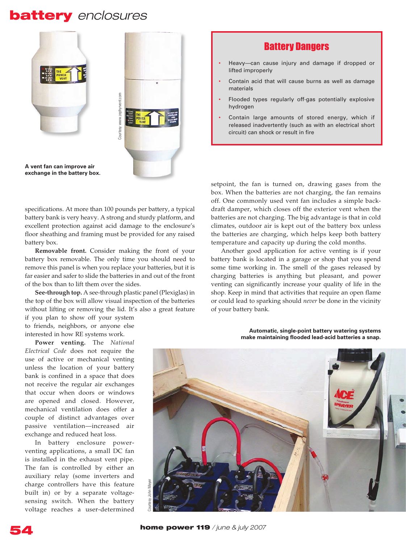

specifications. At more than 100 pounds per battery, a typical battery bank is very heavy. A strong and sturdy platform, and excellent protection against acid damage to the enclosure's floor sheathing and framing must be provided for any raised battery box.

**Removable front.** Consider making the front of your battery box removable. The only time you should need to remove this panel is when you replace your batteries, but it is far easier and safer to slide the batteries in and out of the front of the box than to lift them over the sides.

**See-through top.** A see-through plastic panel (Plexiglas) in the top of the box will allow visual inspection of the batteries without lifting or removing the lid. It's also a great feature

if you plan to show off your system to friends, neighbors, or anyone else interested in how RE systems work.

**Power venting.** The *National Electrical Code* does not require the use of active or mechanical venting unless the location of your battery bank is confined in a space that does not receive the regular air exchanges that occur when doors or windows are opened and closed. However, mechanical ventilation does offer a couple of distinct advantages over passive ventilation—increased air exchange and reduced heat loss.

In battery enclosure powerventing applications, a small DC fan is installed in the exhaust vent pipe. The fan is controlled by either an auxiliary relay (some inverters and charge controllers have this feature built in) or by a separate voltagesensing switch. When the battery voltage reaches a user-determined

## Battery Dangers

- Heavy—can cause injury and damage if dropped or lifted improperly
- Contain acid that will cause burns as well as damage materials
- Flooded types regularly off-gas potentially explosive hydrogen
- Contain large amounts of stored energy, which if released inadvertently (such as with an electrical short circuit) can shock or result in fire

setpoint, the fan is turned on, drawing gases from the box. When the batteries are not charging, the fan remains off. One commonly used vent fan includes a simple backdraft damper, which closes off the exterior vent when the batteries are not charging. The big advantage is that in cold climates, outdoor air is kept out of the battery box unless the batteries are charging, which helps keep both battery temperature and capacity up during the cold months.

Another good application for active venting is if your battery bank is located in a garage or shop that you spend some time working in. The smell of the gases released by charging batteries is anything but pleasant, and power venting can significantly increase your quality of life in the shop. Keep in mind that activities that require an open flame or could lead to sparking should *never* be done in the vicinity of your battery bank.

> **Automatic, single-point battery watering systems make maintaining flooded lead-acid batteries a snap.**